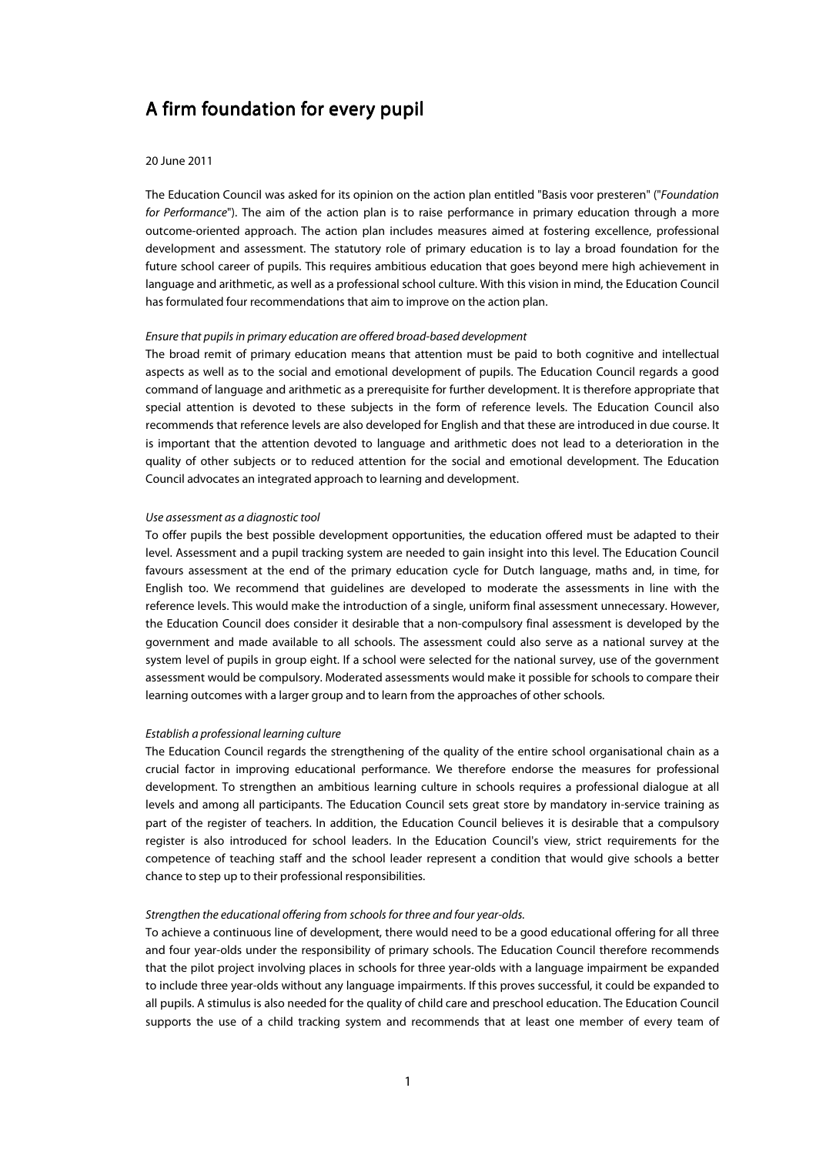# A firm foundation for every pupil

#### 20 June 2011

The Education Council was asked for its opinion on the action plan entitled "Basis voor presteren" ("Foundation for Performance"). The aim of the action plan is to raise performance in primary education through a more outcome-oriented approach. The action plan includes measures aimed at fostering excellence, professional development and assessment. The statutory role of primary education is to lay a broad foundation for the future school career of pupils. This requires ambitious education that goes beyond mere high achievement in language and arithmetic, as well as a professional school culture. With this vision in mind, the Education Council has formulated four recommendations that aim to improve on the action plan.

## Ensure that pupils in primary education are offered broad-based development

The broad remit of primary education means that attention must be paid to both cognitive and intellectual aspects as well as to the social and emotional development of pupils. The Education Council regards a good command of language and arithmetic as a prerequisite for further development. It is therefore appropriate that special attention is devoted to these subjects in the form of reference levels. The Education Council also recommends that reference levels are also developed for English and that these are introduced in due course. It is important that the attention devoted to language and arithmetic does not lead to a deterioration in the quality of other subjects or to reduced attention for the social and emotional development. The Education Council advocates an integrated approach to learning and development.

#### Use assessment as a diagnostic tool

To offer pupils the best possible development opportunities, the education offered must be adapted to their level. Assessment and a pupil tracking system are needed to gain insight into this level. The Education Council favours assessment at the end of the primary education cycle for Dutch language, maths and, in time, for English too. We recommend that guidelines are developed to moderate the assessments in line with the reference levels. This would make the introduction of a single, uniform final assessment unnecessary. However, the Education Council does consider it desirable that a non-compulsory final assessment is developed by the government and made available to all schools. The assessment could also serve as a national survey at the system level of pupils in group eight. If a school were selected for the national survey, use of the government assessment would be compulsory. Moderated assessments would make it possible for schools to compare their learning outcomes with a larger group and to learn from the approaches of other schools.

### Establish a professional learning culture

The Education Council regards the strengthening of the quality of the entire school organisational chain as a crucial factor in improving educational performance. We therefore endorse the measures for professional development. To strengthen an ambitious learning culture in schools requires a professional dialogue at all levels and among all participants. The Education Council sets great store by mandatory in-service training as part of the register of teachers. In addition, the Education Council believes it is desirable that a compulsory register is also introduced for school leaders. In the Education Council's view, strict requirements for the competence of teaching staff and the school leader represent a condition that would give schools a better chance to step up to their professional responsibilities.

#### Strengthen the educational offering from schools for three and four year-olds.

To achieve a continuous line of development, there would need to be a good educational offering for all three and four year-olds under the responsibility of primary schools. The Education Council therefore recommends that the pilot project involving places in schools for three year-olds with a language impairment be expanded to include three year-olds without any language impairments. If this proves successful, it could be expanded to all pupils. A stimulus is also needed for the quality of child care and preschool education. The Education Council supports the use of a child tracking system and recommends that at least one member of every team of